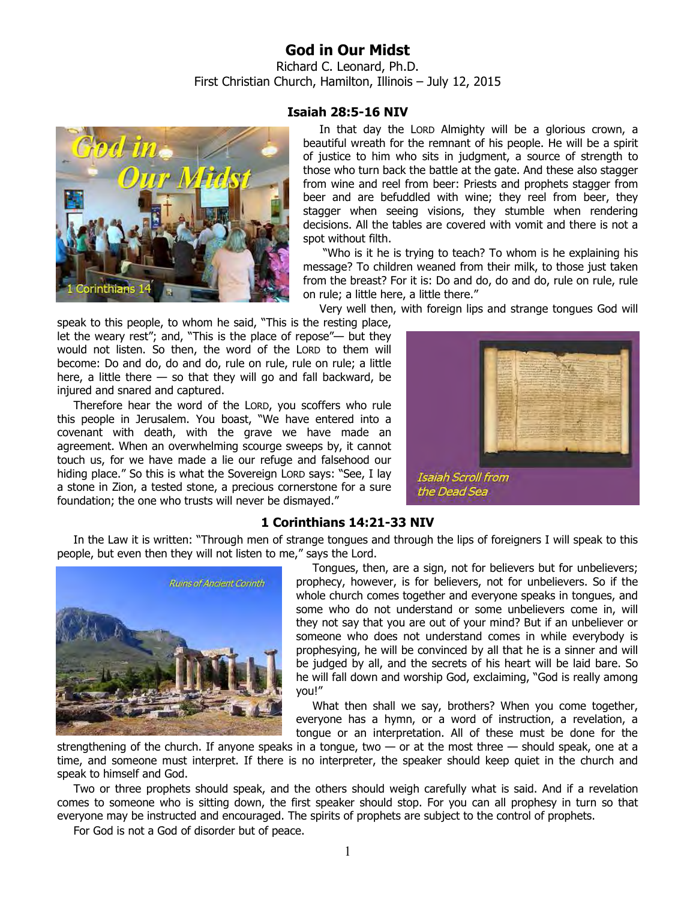## **God in Our Midst**

Richard C. Leonard, Ph.D. First Christian Church, Hamilton, Illinois – July 12, 2015



## **Isaiah 28:5-16 NIV**

In that day the LORD Almighty will be a glorious crown, a beautiful wreath for the remnant of his people. He will be a spirit of justice to him who sits in judgment, a source of strength to those who turn back the battle at the gate. And these also stagger from wine and reel from beer: Priests and prophets stagger from beer and are befuddled with wine; they reel from beer, they stagger when seeing visions, they stumble when rendering decisions. All the tables are covered with vomit and there is not a spot without filth.

 "Who is it he is trying to teach? To whom is he explaining his message? To children weaned from their milk, to those just taken from the breast? For it is: Do and do, do and do, rule on rule, rule on rule; a little here, a little there."

Very well then, with foreign lips and strange tongues God will

speak to this people, to whom he said, "This is the resting place, let the weary rest"; and, "This is the place of repose"— but they would not listen. So then, the word of the LORD to them will become: Do and do, do and do, rule on rule, rule on rule; a little here, a little there  $-$  so that they will go and fall backward, be injured and snared and captured.

Therefore hear the word of the LORD, you scoffers who rule this people in Jerusalem. You boast, "We have entered into a covenant with death, with the grave we have made an agreement. When an overwhelming scourge sweeps by, it cannot touch us, for we have made a lie our refuge and falsehood our hiding place." So this is what the Sovereign LORD says: "See, I lay a stone in Zion, a tested stone, a precious cornerstone for a sure foundation; the one who trusts will never be dismayed."



## **1 Corinthians 14:21-33 NIV**

In the Law it is written: "Through men of strange tongues and through the lips of foreigners I will speak to this people, but even then they will not listen to me," says the Lord.



Tongues, then, are a sign, not for believers but for unbelievers; prophecy, however, is for believers, not for unbelievers. So if the whole church comes together and everyone speaks in tongues, and some who do not understand or some unbelievers come in, will they not say that you are out of your mind? But if an unbeliever or someone who does not understand comes in while everybody is prophesying, he will be convinced by all that he is a sinner and will be judged by all, and the secrets of his heart will be laid bare. So he will fall down and worship God, exclaiming, "God is really among you!"

What then shall we say, brothers? When you come together, everyone has a hymn, or a word of instruction, a revelation, a tongue or an interpretation. All of these must be done for the

strengthening of the church. If anyone speaks in a tongue, two — or at the most three — should speak, one at a time, and someone must interpret. If there is no interpreter, the speaker should keep quiet in the church and speak to himself and God.

Two or three prophets should speak, and the others should weigh carefully what is said. And if a revelation comes to someone who is sitting down, the first speaker should stop. For you can all prophesy in turn so that everyone may be instructed and encouraged. The spirits of prophets are subject to the control of prophets.

For God is not a God of disorder but of peace.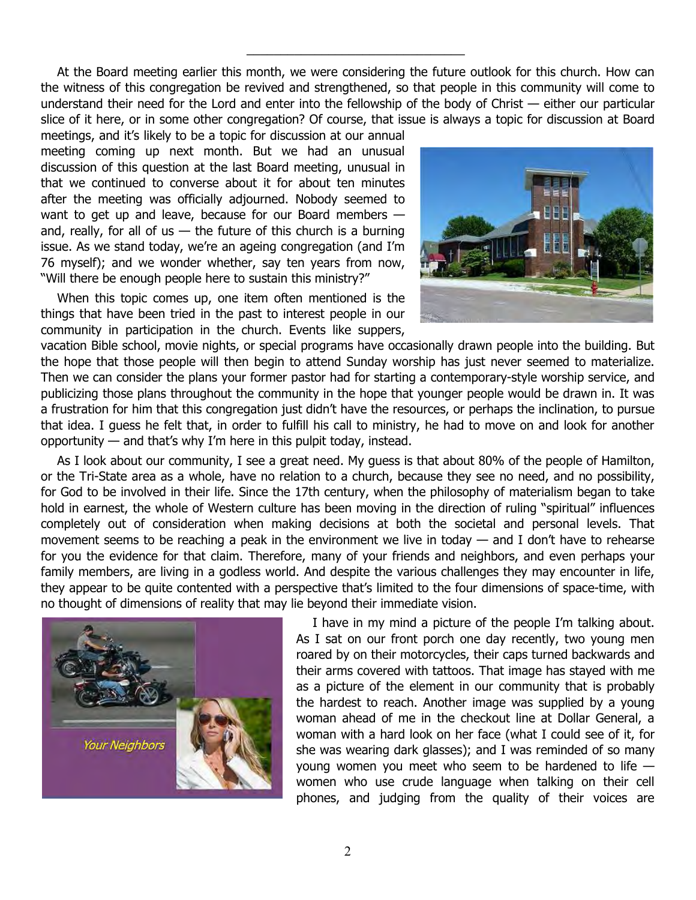At the Board meeting earlier this month, we were considering the future outlook for this church. How can the witness of this congregation be revived and strengthened, so that people in this community will come to understand their need for the Lord and enter into the fellowship of the body of Christ — either our particular slice of it here, or in some other congregation? Of course, that issue is always a topic for discussion at Board

\_\_\_\_\_\_\_\_\_\_\_\_\_\_\_\_\_\_\_\_\_\_\_\_\_\_\_\_\_\_\_\_

meetings, and it's likely to be a topic for discussion at our annual meeting coming up next month. But we had an unusual discussion of this question at the last Board meeting, unusual in that we continued to converse about it for about ten minutes after the meeting was officially adjourned. Nobody seemed to want to get up and leave, because for our Board members and, really, for all of us  $-$  the future of this church is a burning issue. As we stand today, we're an ageing congregation (and I'm 76 myself); and we wonder whether, say ten years from now, "Will there be enough people here to sustain this ministry?"

When this topic comes up, one item often mentioned is the things that have been tried in the past to interest people in our community in participation in the church. Events like suppers,



vacation Bible school, movie nights, or special programs have occasionally drawn people into the building. But the hope that those people will then begin to attend Sunday worship has just never seemed to materialize. Then we can consider the plans your former pastor had for starting a contemporary-style worship service, and publicizing those plans throughout the community in the hope that younger people would be drawn in. It was a frustration for him that this congregation just didn't have the resources, or perhaps the inclination, to pursue that idea. I guess he felt that, in order to fulfill his call to ministry, he had to move on and look for another opportunity — and that's why I'm here in this pulpit today, instead.

As I look about our community, I see a great need. My guess is that about 80% of the people of Hamilton, or the Tri-State area as a whole, have no relation to a church, because they see no need, and no possibility, for God to be involved in their life. Since the 17th century, when the philosophy of materialism began to take hold in earnest, the whole of Western culture has been moving in the direction of ruling "spiritual" influences completely out of consideration when making decisions at both the societal and personal levels. That movement seems to be reaching a peak in the environment we live in today — and I don't have to rehearse for you the evidence for that claim. Therefore, many of your friends and neighbors, and even perhaps your family members, are living in a godless world. And despite the various challenges they may encounter in life, they appear to be quite contented with a perspective that's limited to the four dimensions of space-time, with no thought of dimensions of reality that may lie beyond their immediate vision.



I have in my mind a picture of the people I'm talking about. As I sat on our front porch one day recently, two young men roared by on their motorcycles, their caps turned backwards and their arms covered with tattoos. That image has stayed with me as a picture of the element in our community that is probably the hardest to reach. Another image was supplied by a young woman ahead of me in the checkout line at Dollar General, a woman with a hard look on her face (what I could see of it, for she was wearing dark glasses); and I was reminded of so many young women you meet who seem to be hardened to life  $$ women who use crude language when talking on their cell phones, and judging from the quality of their voices are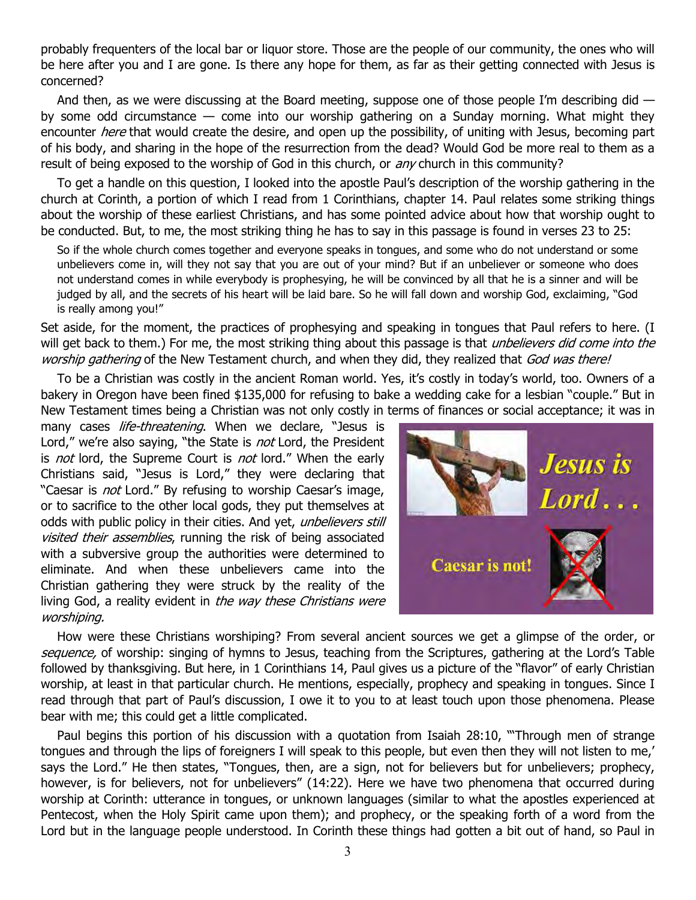probably frequenters of the local bar or liquor store. Those are the people of our community, the ones who will be here after you and I are gone. Is there any hope for them, as far as their getting connected with Jesus is concerned?

And then, as we were discussing at the Board meeting, suppose one of those people I'm describing did – by some odd circumstance — come into our worship gathering on a Sunday morning. What might they encounter *here* that would create the desire, and open up the possibility, of uniting with Jesus, becoming part of his body, and sharing in the hope of the resurrection from the dead? Would God be more real to them as a result of being exposed to the worship of God in this church, or any church in this community?

To get a handle on this question, I looked into the apostle Paul's description of the worship gathering in the church at Corinth, a portion of which I read from 1 Corinthians, chapter 14. Paul relates some striking things about the worship of these earliest Christians, and has some pointed advice about how that worship ought to be conducted. But, to me, the most striking thing he has to say in this passage is found in verses 23 to 25:

So if the whole church comes together and everyone speaks in tongues, and some who do not understand or some unbelievers come in, will they not say that you are out of your mind? But if an unbeliever or someone who does not understand comes in while everybody is prophesying, he will be convinced by all that he is a sinner and will be judged by all, and the secrets of his heart will be laid bare. So he will fall down and worship God, exclaiming, "God is really among you!"

Set aside, for the moment, the practices of prophesying and speaking in tongues that Paul refers to here. (I will get back to them.) For me, the most striking thing about this passage is that *unbelievers did come into the* worship gathering of the New Testament church, and when they did, they realized that God was there!

To be a Christian was costly in the ancient Roman world. Yes, it's costly in today's world, too. Owners of a bakery in Oregon have been fined \$135,000 for refusing to bake a wedding cake for a lesbian "couple." But in New Testament times being a Christian was not only costly in terms of finances or social acceptance; it was in

many cases *life-threatening*. When we declare, "Jesus is Lord," we're also saying, "the State is not Lord, the President is *not* lord, the Supreme Court is *not* lord." When the early Christians said, "Jesus is Lord," they were declaring that "Caesar is not Lord." By refusing to worship Caesar's image, or to sacrifice to the other local gods, they put themselves at odds with public policy in their cities. And yet, unbelievers still visited their assemblies, running the risk of being associated with a subversive group the authorities were determined to eliminate. And when these unbelievers came into the Christian gathering they were struck by the reality of the living God, a reality evident in the way these Christians were worshiping.



How were these Christians worshiping? From several ancient sources we get a glimpse of the order, or sequence, of worship: singing of hymns to Jesus, teaching from the Scriptures, gathering at the Lord's Table followed by thanksgiving. But here, in 1 Corinthians 14, Paul gives us a picture of the "flavor" of early Christian worship, at least in that particular church. He mentions, especially, prophecy and speaking in tongues. Since I read through that part of Paul's discussion, I owe it to you to at least touch upon those phenomena. Please bear with me; this could get a little complicated.

Paul begins this portion of his discussion with a quotation from Isaiah 28:10, "'Through men of strange tongues and through the lips of foreigners I will speak to this people, but even then they will not listen to me,' says the Lord." He then states, "Tongues, then, are a sign, not for believers but for unbelievers; prophecy, however, is for believers, not for unbelievers" (14:22). Here we have two phenomena that occurred during worship at Corinth: utterance in tongues, or unknown languages (similar to what the apostles experienced at Pentecost, when the Holy Spirit came upon them); and prophecy, or the speaking forth of a word from the Lord but in the language people understood. In Corinth these things had gotten a bit out of hand, so Paul in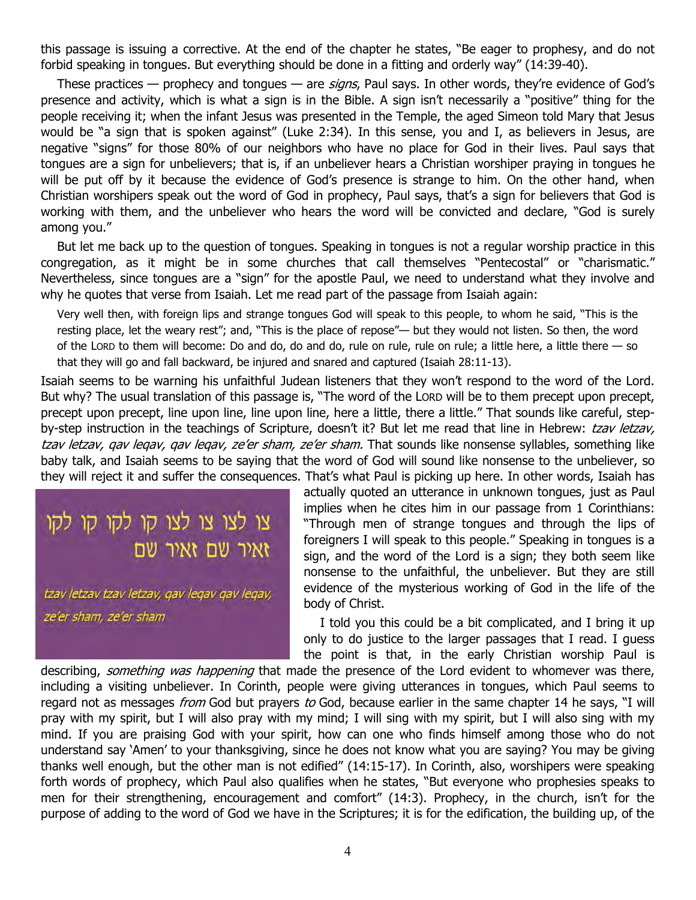this passage is issuing a corrective. At the end of the chapter he states, "Be eager to prophesy, and do not forbid speaking in tongues. But everything should be done in a fitting and orderly way" (14:39-40).

These practices  $-$  prophecy and tongues  $-$  are *signs*, Paul says. In other words, they're evidence of God's presence and activity, which is what a sign is in the Bible. A sign isn't necessarily a "positive" thing for the people receiving it; when the infant Jesus was presented in the Temple, the aged Simeon told Mary that Jesus would be "a sign that is spoken against" (Luke 2:34). In this sense, you and I, as believers in Jesus, are negative "signs" for those 80% of our neighbors who have no place for God in their lives. Paul says that tongues are a sign for unbelievers; that is, if an unbeliever hears a Christian worshiper praying in tongues he will be put off by it because the evidence of God's presence is strange to him. On the other hand, when Christian worshipers speak out the word of God in prophecy, Paul says, that's a sign for believers that God is working with them, and the unbeliever who hears the word will be convicted and declare, "God is surely among you."

But let me back up to the question of tongues. Speaking in tongues is not a regular worship practice in this congregation, as it might be in some churches that call themselves "Pentecostal" or "charismatic." Nevertheless, since tongues are a "sign" for the apostle Paul, we need to understand what they involve and why he quotes that verse from Isaiah. Let me read part of the passage from Isaiah again:

Very well then, with foreign lips and strange tongues God will speak to this people, to whom he said, "This is the resting place, let the weary rest"; and, "This is the place of repose"— but they would not listen. So then, the word of the LORD to them will become: Do and do, do and do, rule on rule, rule on rule; a little here, a little there — so that they will go and fall backward, be injured and snared and captured (Isaiah 28:11-13).

Isaiah seems to be warning his unfaithful Judean listeners that they won't respond to the word of the Lord. But why? The usual translation of this passage is, "The word of the LORD will be to them precept upon precept, precept upon precept, line upon line, line upon line, here a little, there a little." That sounds like careful, stepby-step instruction in the teachings of Scripture, doesn't it? But let me read that line in Hebrew: *tzav letzav,* tzav letzav, gav legav, gav legav, ze'er sham, ze'er sham. That sounds like nonsense syllables, something like baby talk, and Isaiah seems to be saying that the word of God will sound like nonsense to the unbeliever, so they will reject it and suffer the consequences. That's what Paul is picking up here. In other words, Isaiah has

## צו לצו צו לצו קו לקו קו לקו זאיר שם זאיר שם

tzav letzav tzav letzav, gav legav gav legav, ze'er sham, ze'er sham

actually quoted an utterance in unknown tongues, just as Paul implies when he cites him in our passage from 1 Corinthians: "Through men of strange tongues and through the lips of foreigners I will speak to this people." Speaking in tongues is a sign, and the word of the Lord is a sign; they both seem like nonsense to the unfaithful, the unbeliever. But they are still evidence of the mysterious working of God in the life of the body of Christ.

I told you this could be a bit complicated, and I bring it up only to do justice to the larger passages that I read. I guess the point is that, in the early Christian worship Paul is

describing, *something was happening* that made the presence of the Lord evident to whomever was there, including a visiting unbeliever. In Corinth, people were giving utterances in tongues, which Paul seems to regard not as messages *from* God but prayers to God, because earlier in the same chapter 14 he says, "I will pray with my spirit, but I will also pray with my mind; I will sing with my spirit, but I will also sing with my mind. If you are praising God with your spirit, how can one who finds himself among those who do not understand say 'Amen' to your thanksgiving, since he does not know what you are saying? You may be giving thanks well enough, but the other man is not edified" (14:15-17). In Corinth, also, worshipers were speaking forth words of prophecy, which Paul also qualifies when he states, "But everyone who prophesies speaks to men for their strengthening, encouragement and comfort" (14:3). Prophecy, in the church, isn't for the purpose of adding to the word of God we have in the Scriptures; it is for the edification, the building up, of the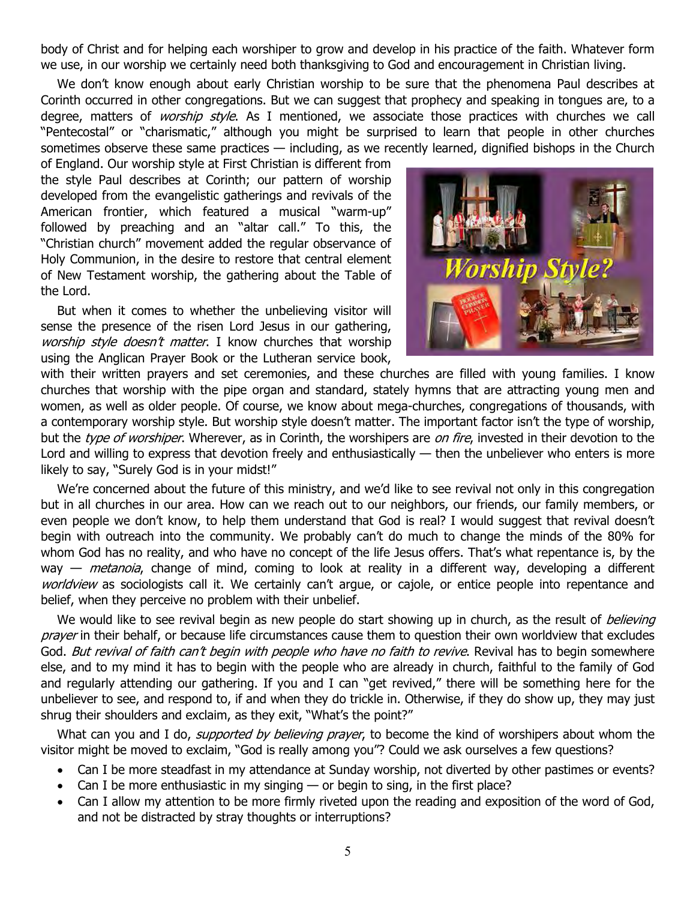body of Christ and for helping each worshiper to grow and develop in his practice of the faith. Whatever form we use, in our worship we certainly need both thanksgiving to God and encouragement in Christian living.

We don't know enough about early Christian worship to be sure that the phenomena Paul describes at Corinth occurred in other congregations. But we can suggest that prophecy and speaking in tongues are, to a degree, matters of *worship style*. As I mentioned, we associate those practices with churches we call "Pentecostal" or "charismatic," although you might be surprised to learn that people in other churches sometimes observe these same practices — including, as we recently learned, dignified bishops in the Church

of England. Our worship style at First Christian is different from the style Paul describes at Corinth; our pattern of worship developed from the evangelistic gatherings and revivals of the American frontier, which featured a musical "warm-up" followed by preaching and an "altar call." To this, the "Christian church" movement added the regular observance of Holy Communion, in the desire to restore that central element of New Testament worship, the gathering about the Table of the Lord.

But when it comes to whether the unbelieving visitor will sense the presence of the risen Lord Jesus in our gathering, worship style doesn't matter. I know churches that worship using the Anglican Prayer Book or the Lutheran service book,



with their written prayers and set ceremonies, and these churches are filled with young families. I know churches that worship with the pipe organ and standard, stately hymns that are attracting young men and women, as well as older people. Of course, we know about mega-churches, congregations of thousands, with a contemporary worship style. But worship style doesn't matter. The important factor isn't the type of worship, but the type of worshiper. Wherever, as in Corinth, the worshipers are on fire, invested in their devotion to the Lord and willing to express that devotion freely and enthusiastically — then the unbeliever who enters is more likely to say, "Surely God is in your midst!"

We're concerned about the future of this ministry, and we'd like to see revival not only in this congregation but in all churches in our area. How can we reach out to our neighbors, our friends, our family members, or even people we don't know, to help them understand that God is real? I would suggest that revival doesn't begin with outreach into the community. We probably can't do much to change the minds of the 80% for whom God has no reality, and who have no concept of the life Jesus offers. That's what repentance is, by the way — metanoia, change of mind, coming to look at reality in a different way, developing a different worldview as sociologists call it. We certainly can't argue, or cajole, or entice people into repentance and belief, when they perceive no problem with their unbelief.

We would like to see revival begin as new people do start showing up in church, as the result of *believing* prayer in their behalf, or because life circumstances cause them to question their own worldview that excludes God. But revival of faith can't begin with people who have no faith to revive. Revival has to begin somewhere else, and to my mind it has to begin with the people who are already in church, faithful to the family of God and regularly attending our gathering. If you and I can "get revived," there will be something here for the unbeliever to see, and respond to, if and when they do trickle in. Otherwise, if they do show up, they may just shrug their shoulders and exclaim, as they exit, "What's the point?"

What can you and I do, *supported by believing prayer*, to become the kind of worshipers about whom the visitor might be moved to exclaim, "God is really among you"? Could we ask ourselves a few questions?

- Can I be more steadfast in my attendance at Sunday worship, not diverted by other pastimes or events?
- Can I be more enthusiastic in my singing or begin to sing, in the first place?
- Can I allow my attention to be more firmly riveted upon the reading and exposition of the word of God, and not be distracted by stray thoughts or interruptions?